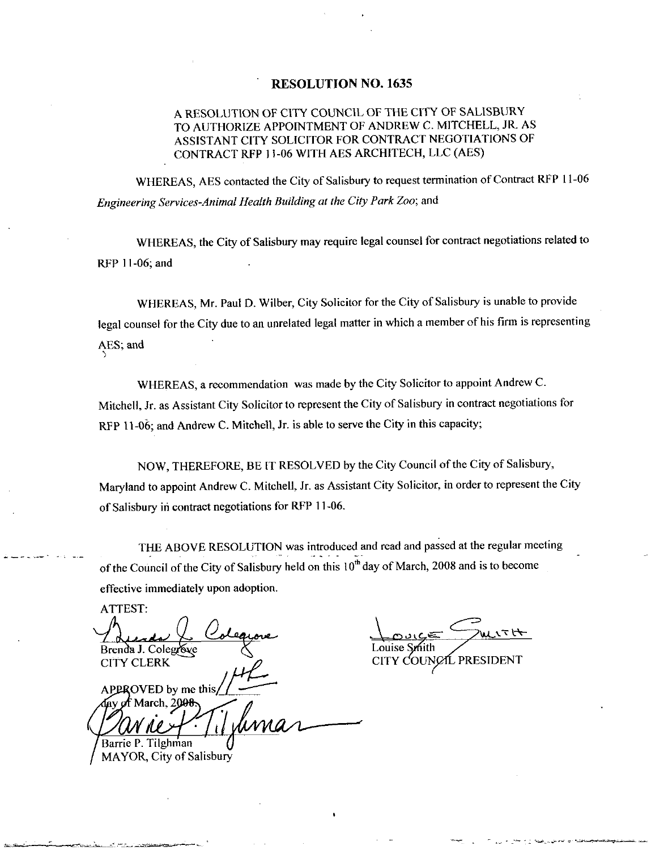#### **RESOLUTION NO. 1635**

### A RESOLUTION OF CITY COUNCIL OF THE CITY OF SALISBURY TO AUTHORIZE APPOINTMENT OF ANDREW C. MITCHELL, JR. AS ASSISTANT CITY SOLICITOR FOR CONTRACT NEGOTIATIONS OF CONTRACT RFP 11-06 WITH AES ARCHITECH, LLC (AES)

WHEREAS, AES contacted the City of Salisbury to request termination of Contract RFP 11-06 Engineering Services-Animal Health Building at the City Park Zoo; and

WHEREAS, the City of Salisbury may require legal counsel for contract negotiations related to RFP 11-06; and

WHEREAS, Mr. Paul D. Wilber, City Solicitor for the City of Salisbury is unable to provide legal counsel for the City due to an unrelated legal matter in which a member of his firm is representing AES; and

WHEREAS, a recommendation was made by the City Solicitor to appoint Andrew C. Mitchell, Jr. as Assistant City Solicitor to represent the City of Salisbury in contract negotiations for RFP 11-06; and Andrew C. Mitchell, Jr. is able to serve the City in this capacity;

NOW, THEREFORE, BE IT RESOLVED by the City Council of the City of Salisbury, Maryland to appoint Andrew C. Mitchell, Jr. as Assistant City Solicitor, in order to represent the City of Salisbury in contract negotiations for RFP 11-06.

THE ABOVE RESOLUTION was introduced and read and passed at the regular meeting of the Council of the City of Salisbury held on this  $10^{th}$  day of March, 2008 and is to become effective immediately upon adoption.

ATTEST: Brenda J. Colegrove **CITY CLERK** APPROVED by me this

ay of March, 200<del>8</del> Barrie P. Tilghman MAYOR, City of Salisbury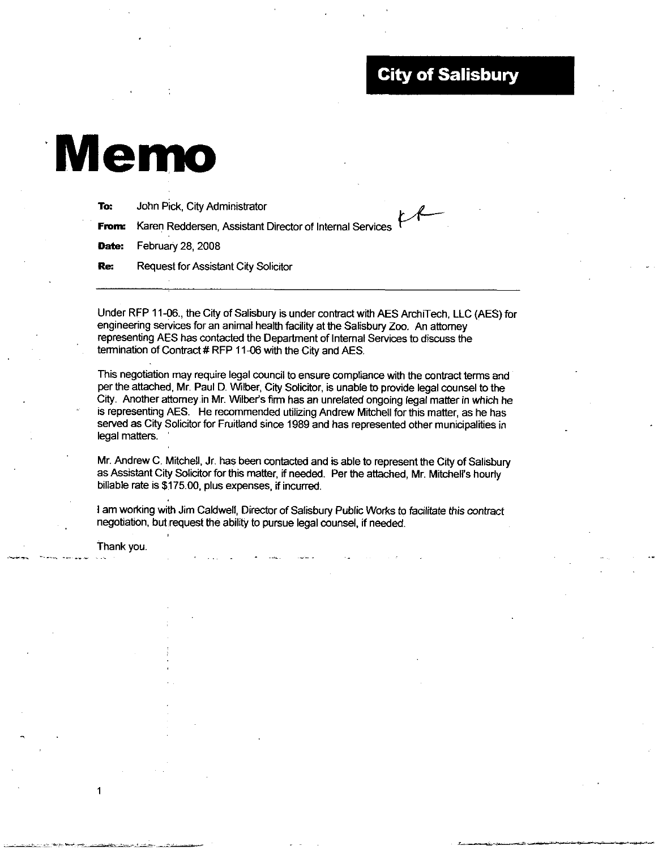## City of Salisbury

# Memo

| To:   | John Pick, City Administrator                            |
|-------|----------------------------------------------------------|
| From: | Karen Reddersen, Assistant Director of Internal Services |
| Date: | February 28, 2008                                        |
| Re:   | <b>Request for Assistant City Solicitor</b>              |
|       |                                                          |

Under RFP 11-06., the City of Salisbury is under contract with AES ArchiTech, LLC (AES) for engineering services for an animal health facility at the Salisbury Zoo. An attorney representing AES has contacted the Department of Intemal Services to discuss the termination of Contract # RFP 11-06 with the City and AES.

This negotiation may require legal council to ensure compliance with the contract terms and per the attached, Mr. Paul D. Wilber, City Solicitor, is unable to provide legal counsel to the City. Another attorney in Mr. Wilber's firm has an unrelated ongoing legal matter in which he is representing AES. He recommended utilizing Andrew Mitchell for this matter, as he has served as City Solicitor for Fruitland since 1989 and has represented other municipalities in legal matters.

Mr. Andrew C. Mitchell, Jr. has been contacted and is able to represent the City of Salisbury Mr. Andrew C. Mitchell, Jr. has been contacted and is able to represent the City of Salisburgs Assistant City Solicitor for this matter, if needed. Per the attached, Mr. Mitchell's hourly as Assistant City Solicitor for this matter, if needed. Per the attached, Mr. Mitchell's hourly billable rate is \$175.00, plus expenses, if incurred.

<sup>I</sup> am working with Jim Caldwell, Director of Salisbury Public Works to facilitate this contract negotiation, but request the ability to pursue legal counsel, if needed.

Thank you.

1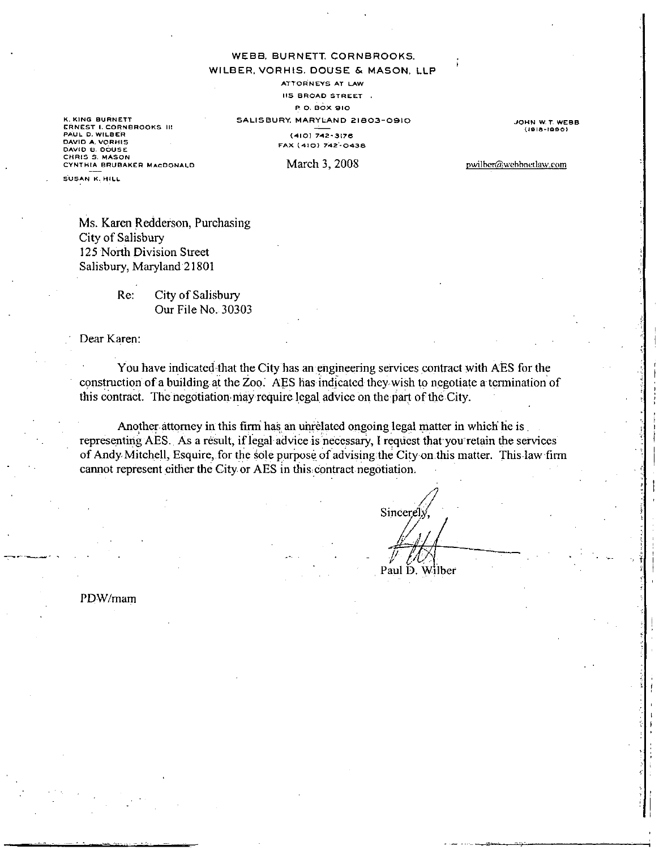WEBB, BURNETT, CORNBROOKS.

#### WILBER, VORHIS, DOUSE & MASON, LLP

ATTORNEYS AT LAW

**IIS BROAD STREET.** 

P.O. BOX 910

SALISBURY, MARYLAND 21803-0910  $(410)$  742-3176

OHN W.T. WEBB  $(1918 - 1990)$ 

K. KING BURNETT ERNEST I. CORNEROOKS III DAVID A. VORHIS DAVID B. DOUSE<br>CHRIS S. MASON CYNTHIA BRUBAKER MACDONALD

FAX (410) 742-0438 March 3, 2008

pwilber@webbnetlaw.com

**SUSAN K. HILL** 

Ms. Karen Redderson, Purchasing City of Salisbury 125 North Division Street Salisbury, Maryland 21801

> Re: City of Salisbury Our File No. 30303

Dear Karen:

You have indicated that the City has an engineering services contract with AES for the construction of a building at the Zoo. AES has indicated they wish to negotiate a termination of this contract. The negotiation may require legal advice on the part of the City.

Another attorney in this firm has an unrelated ongoing legal matter in which he is representing AES. As a result, if legal advice is necessary, I request that you retain the services of Andy Mitchell, Esquire, for the sole purpose of advising the City on this matter. This law firm cannot represent either the City or AES in this contract negotiation.

Sincere. Paul D. Wilber

PDW/mam